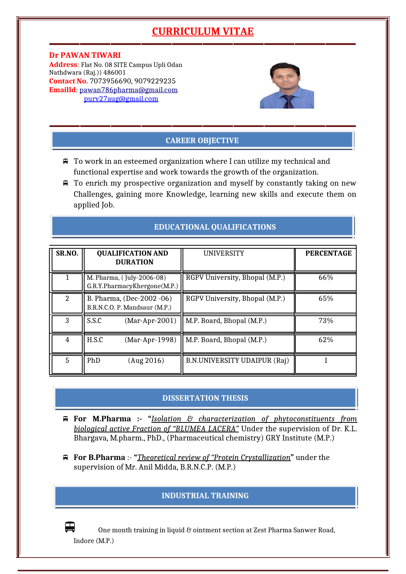# **CURRICULUM VITAE**

**Dr PAWAN TIWARI Address**: Flat No. 08 SITE Campus Upli Odan Nathdwara (Raj.)) 486001 **Contact No.** 7073956690, 9079229235 **EmailId**: [pawan786pharma@gmail.com](mailto:pawan786pharma@gmail.com) [purv27aug@gmail.com](mailto:purv27aug@gmail.com)



# **CAREER OBJECTIVE**

- To work in an esteemed organization where I can utilize my technical and functional expertise and work towards the growth of the organization.
- To enrich my prospective organization and myself by constantly taking on new Challenges, gaining more Knowledge, learning new skills and execute them on applied Job.

|  |  |  |  |  |  |  | <b>EDUCATIONAL QUALIFICATIONS</b> |  |  |  |
|--|--|--|--|--|--|--|-----------------------------------|--|--|--|
|  |  |  |  |  |  |  |                                   |  |  |  |
|  |  |  |  |  |  |  |                                   |  |  |  |

| SR.NO. | <b>QUALIFICATION AND</b><br><b>DURATION</b>                | <b>UNIVERSITY</b>              | <b>PERCENTAGE</b> |
|--------|------------------------------------------------------------|--------------------------------|-------------------|
|        | M. Pharma, (July-2006-08)<br>G.R.Y.PharmacyKhergone(M.P.)  | RGPV University, Bhopal (M.P.) | 66%               |
| 2      | B. Pharma, (Dec-2002 -06)<br>B.R.N.C.O. P. Mandsaur (M.P.) | RGPV University, Bhopal (M.P.) | 65%               |
| 3      | S.S.C<br>$(Mar-Apr-2001)$                                  | M.P. Board, Bhopal (M.P.)      | 73%               |
| 4      | H.S.C<br>$(Mar-Apr-1998)$                                  | M.P. Board, Bhopal (M.P.)      | 62%               |
| 5      | PhD<br>(Aug 2016)                                          | B.N.UNIVERSITY UDAIPUR (Raj)   |                   |

# **DISSERTATION THESIS**

- **For M.Pharma :- "***Isolation & characterization of phytoconstituents from biological active Fraction of "BLUMEA LACERA"* Under the supervision of Dr. K.L. Bhargava, M.pharm., PhD., (Pharmaceutical chemistry) GRY Institute (M.P.)
- **For B.Pharma** :- **"***Theoretical review of "Protein Crystallization***"** under the supervision of Mr. Anil Midda, B.R.N.C.P. (M.P.)

# **INDUSTRIAL TRAINING**

One month training in liquid & ointment section at Zest Pharma Sanwer Road, Indore (M.P.)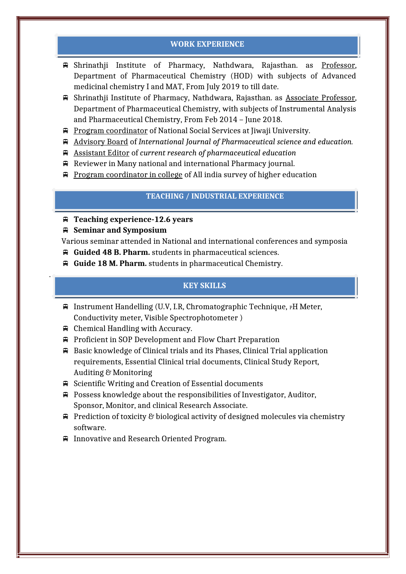## **WORK EXPERIENCE**

- Shrinathji Institute of Pharmacy, Nathdwara, Rajasthan. as Professor, Department of Pharmaceutical Chemistry (HOD) with subjects of Advanced medicinal chemistry I and MAT, From July 2019 to till date.
- Shrinathji Institute of Pharmacy, Nathdwara, Rajasthan. as Associate Professor, Department of Pharmaceutical Chemistry, with subjects of Instrumental Analysis and Pharmaceutical Chemistry, From Feb 2014 – June 2018.
- Program coordinator of National Social Services at Jiwaji University.
- Advisory Board of *International Journal of Pharmaceutical science and education.*
- Assistant Editor of *current research of pharmaceutical education*
- $\bigoplus$  Reviewer in Many national and international Pharmacy journal.
- **Program coordinator in college of All india survey of higher education**

## **TEACHING / INDUSTRIAL EXPERIENCE**

- **Teaching experience-12.6 years**
- **Seminar and Symposium**

.

Various seminar attended in National and international conferences and symposia

- **Guided 48 B. Pharm.** students in pharmaceutical sciences.
- **Guide 18 M. Pharm.** students in pharmaceutical Chemistry.

# **KEY SKILLS**

- $\bigoplus$  Instrument Handelling (U.V, I.R, Chromatographic Technique, PH Meter, Conductivity meter, Visible Spectrophotometer )
- Chemical Handling with Accuracy.
- Proficient in SOP Development and Flow Chart Preparation
- $\bigoplus$  Basic knowledge of Clinical trials and its Phases, Clinical Trial application requirements, Essential Clinical trial documents, Clinical Study Report, Auditing & Monitoring
- Scientific Writing and Creation of Essential documents
- $\bigoplus$  Possess knowledge about the responsibilities of Investigator, Auditor, Sponsor, Monitor, and clinical Research Associate.
- $\bigoplus$  Prediction of toxicity & biological activity of designed molecules via chemistry software.
- Innovative and Research Oriented Program.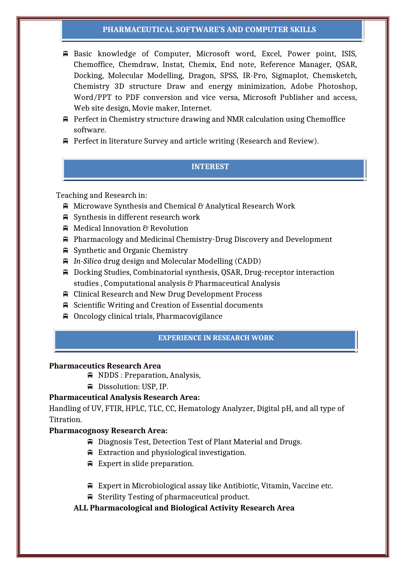#### **PHARMACEUTICAL SOFTWARE'S AND COMPUTER SKILLS**

- Basic knowledge of Computer, Microsoft word, Excel, Power point, ISIS, Chemoffice, Chemdraw, Instat, Chemix, End note, Reference Manager, QSAR, Docking, Molecular Modelling, Dragon, SPSS, IR-Pro, Sigmaplot, Chemsketch, Chemistry 3D structure Draw and energy minimization, Adobe Photoshop, Word/PPT to PDF conversion and vice versa, Microsoft Publisher and access, Web site design, Movie maker, Internet.
- Perfect in Chemistry structure drawing and NMR calculation using Chemoffice software.
- $\bigoplus$  Perfect in literature Survey and article writing (Research and Review).

## **INTEREST**

Teaching and Research in:

- $\bigoplus$  Microwave Synthesis and Chemical & Analytical Research Work
- Synthesis in different research work
- Medical Innovation & Revolution
- Pharmacology and Medicinal Chemistry-Drug Discovery and Development
- Synthetic and Organic Chemistry
- *In-Silico* drug design and Molecular Modelling (CADD)
- Docking Studies, Combinatorial synthesis, QSAR, Drug-receptor interaction studies , Computational analysis & Pharmaceutical Analysis
- Clinical Research and New Drug Development Process
- $\bigoplus$  Scientific Writing and Creation of Essential documents
- Oncology clinical trials, Pharmacovigilance

## **EXPERIENCE IN RESEARCH WORK**

#### **Pharmaceutics Research Area**

- NDDS : Preparation, Analysis,
- Dissolution: USP, IP.

### **Pharmaceutical Analysis Research Area:**

Handling of UV, FTIR, HPLC, TLC, CC, Hematology Analyzer, Digital pH, and all type of Titration.

#### **Pharmacognosy Research Area:**

- Diagnosis Test, Detection Test of Plant Material and Drugs.
- $\equiv$  Extraction and physiological investigation.
- Expert in slide preparation.
- Expert in Microbiological assay like Antibiotic, Vitamin, Vaccine etc.
- Sterility Testing of pharmaceutical product.

### **ALL Pharmacological and Biological Activity Research Area**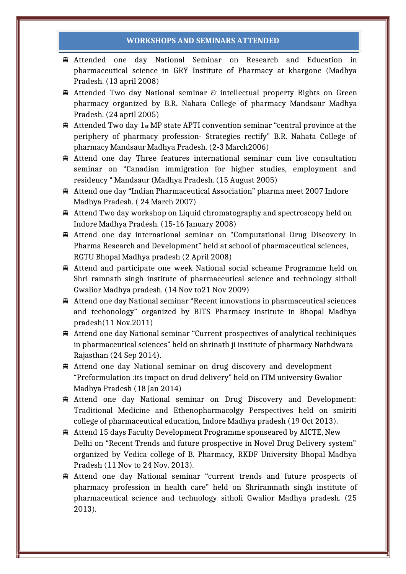#### **WORKSHOPS AND SEMINARS ATTENDED**

- Attended one day National Seminar on Research and Education in pharmaceutical science in GRY Institute of Pharmacy at khargone (Madhya Pradesh. (13 april 2008)
- $\oplus$  Attended Two day National seminar  $\mathcal C$  intellectual property Rights on Green pharmacy organized by B.R. Nahata College of pharmacy Mandsaur Madhya Pradesh. (24 april 2005)
- $\bigoplus$  Attended Two day 1<sub>st</sub> MP state APTI convention seminar "central province at the periphery of pharmacy profession- Strategies rectify" B.R. Nahata College of pharmacy Mandsaur Madhya Pradesh. (2-3 March2006)
- Attend one day Three features international seminar cum live consultation seminar on "Canadian immigration for higher studies, employment and residency " Mandsaur (Madhya Pradesh. (15 August 2005)
- Attend one day "Indian Pharmaceutical Association" pharma meet 2007 Indore Madhya Pradesh. ( 24 March 2007)
- Attend Two day workshop on Liquid chromatography and spectroscopy held on Indore Madhya Pradesh. (15-16 January 2008)
- Attend one day international seminar on "Computational Drug Discovery in Pharma Research and Development" held at school of pharmaceutical sciences, RGTU Bhopal Madhya pradesh (2 April 2008)
- Attend and participate one week National social scheame Programme held on Shri ramnath singh institute of pharmaceutical science and technology sitholi Gwalior Madhya pradesh. (14 Nov to21 Nov 2009)
- Attend one day National seminar "Recent innovations in pharmaceutical sciences and techonology" organized by BITS Pharmacy institute in Bhopal Madhya pradesh(11 Nov.2011)
- Attend one day National seminar "Current prospectives of analytical techiniques in pharmaceutical sciences" held on shrinath ji institute of pharmacy Nathdwara Rajasthan (24 Sep 2014).
- Attend one day National seminar on drug discovery and development "Preformulation :its impact on drud delivery" held on ITM university Gwalior Madhya Pradesh (18 Jan 2014)
- Attend one day National seminar on Drug Discovery and Development: Traditional Medicine and Ethenopharmacolgy Perspectives held on smiriti college of pharmaceutical education, Indore Madhya pradesh (19 Oct 2013).
- Attend 15 days Faculty Development Programme sponseared by AICTE, New Delhi on "Recent Trends and future prospective in Novel Drug Delivery system" organized by Vedica college of B. Pharmacy, RKDF University Bhopal Madhya Pradesh (11 Nov to 24 Nov. 2013).
- Attend one day National seminar "current trends and future prospects of pharmacy profession in health care" held on Shriramnath singh institute of pharmaceutical science and technology sitholi Gwalior Madhya pradesh. (25 2013).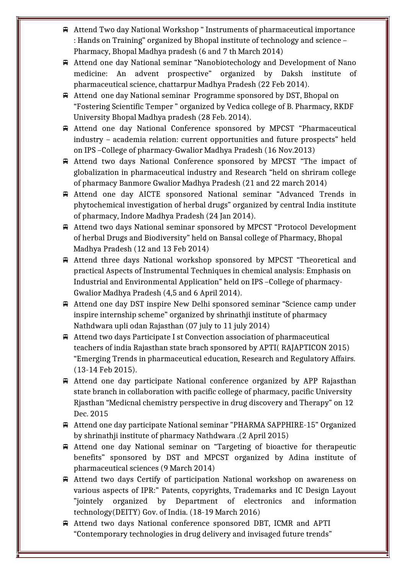- Attend Two day National Workshop " Instruments of pharmaceutical importance : Hands on Training" organized by Bhopal institute of technology and science – Pharmacy, Bhopal Madhya pradesh (6 and 7 th March 2014)
- Attend one day National seminar "Nanobiotechology and Development of Nano medicine: An advent prospective" organized by Daksh institute of pharmaceutical science, chattarpur Madhya Pradesh (22 Feb 2014).
- Attend one day National seminar Programme sponsored by DST, Bhopal on "Fostering Scientific Temper " organized by Vedica college of B. Pharmacy, RKDF University Bhopal Madhya pradesh (28 Feb. 2014).
- Attend one day National Conference sponsored by MPCST "Pharmaceutical industry – academia relation: current opportunities and future prospects" held on IPS –College of pharmacy-Gwalior Madhya Pradesh (16 Nov.2013)
- Attend two days National Conference sponsored by MPCST "The impact of globalization in pharmaceutical industry and Research "held on shriram college of pharmacy Banmore Gwalior Madhya Pradesh (21 and 22 march 2014)
- Attend one day AICTE sponsored National seminar "Advanced Trends in phytochemical investigation of herbal drugs" organized by central India institute of pharmacy, Indore Madhya Pradesh (24 Jan 2014).
- Attend two days National seminar sponsored by MPCST "Protocol Development of herbal Drugs and Biodiversity" held on Bansal college of Pharmacy, Bhopal Madhya Pradesh (12 and 13 Feb 2014)
- Attend three days National workshop sponsored by MPCST "Theoretical and practical Aspects of Instrumental Techniques in chemical analysis: Emphasis on Industrial and Environmental Application" held on IPS –College of pharmacy-Gwalior Madhya Pradesh (4,5 and 6 April 2014).
- Attend one day DST inspire New Delhi sponsored seminar "Science camp under inspire internship scheme" organized by shrinathji institute of pharmacy Nathdwara upli odan Rajasthan (07 july to 11 july 2014)
- Attend two days Participate I st Convection association of pharmaceutical teachers of india Rajasthan state brach sponsored by APTI( RAJAPTICON 2015) "Emerging Trends in pharmaceutical education, Research and Regulatory Affairs. (13-14 Feb 2015).
- Attend one day participate National conference organized by APP Rajasthan state branch in collaboration with pacific college of pharmacy, pacific University Rjasthan "Medicnal chemistry perspective in drug discovery and Therapy" on 12 Dec. 2015
- Attend one day participate National seminar "PHARMA SAPPHIRE-15" Organized by shrinathji institute of pharmacy Nathdwara .(2 April 2015)
- Attend one day National seminar on "Targeting of bioactive for therapeutic benefits" sponsored by DST and MPCST organized by Adina institute of pharmaceutical sciences (9 March 2014)
- Attend two days Certify of participation National workshop on awareness on various aspects of IPR:" Patents, copyrights, Trademarks and IC Design Layout "jointely organized by Department of electronics and information technology(DEITY) Gov. of India. (18-19 March 2016)
- Attend two days National conference sponsored DBT, ICMR and APTI "Contemporary technologies in drug delivery and invisaged future trends"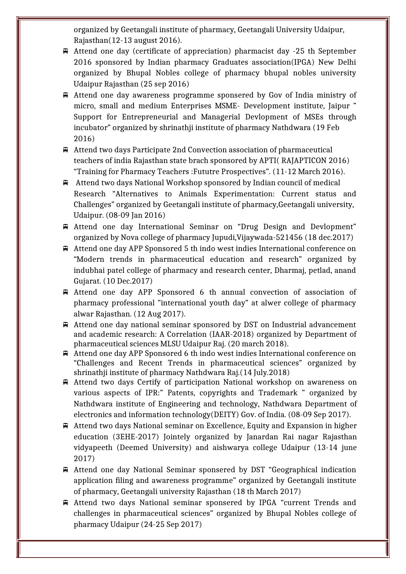organized by Geetangali institute of pharmacy, Geetangali University Udaipur, Rajasthan(12-13 august 2016).

- Attend one day (certificate of appreciation) pharmacist day -25 th September 2016 sponsored by Indian pharmacy Graduates association(IPGA) New Delhi organized by Bhupal Nobles college of pharmacy bhupal nobles university Udaipur Rajasthan (25 sep 2016)
- Attend one day awareness programme sponsered by Gov of India ministry of micro, small and medium Enterprises MSME- Development institute, Jaipur " Support for Entrepreneurial and Managerial Devlopment of MSEs through incubator" organized by shrinathji institute of pharmacy Nathdwara (19 Feb 2016)
- Attend two days Participate 2nd Convection association of pharmaceutical teachers of india Rajasthan state brach sponsored by APTI( RAJAPTICON 2016) "Training for Pharmacy Teachers :Fututre Prospectives". (11-12 March 2016).
- Attend two days National Workshop sponsored by Indian council of medical Research "Alternatives to Animals Experimentation: Current status and Challenges" organized by Geetangali institute of pharmacy,Geetangali university, Udaipur. (08-09 Jan 2016)
- Attend one day International Seminar on "Drug Design and Devlopment" organized by Nova college of pharmacy Jupudi,Vijaywada-521456 (18 dec.2017)
- Attend one day APP Sponsored 5 th indo west indies International conference on "Modern trends in pharmaceutical education and research" organized by indubhai patel college of pharmacy and research center, Dharmaj, petlad, anand Gujarat. (10 Dec.2017)
- Attend one day APP Sponsored 6 th annual convection of association of pharmacy professional "international youth day" at alwer college of pharmacy alwar Rajasthan. (12 Aug 2017).
- Attend one day national seminar sponsored by DST on Industrial advancement and academic research: A Correlation (IAAR-2018) organized by Department of pharmaceutical sciences MLSU Udaipur Raj. (20 march 2018).
- Attend one day APP Sponsored 6 th indo west indies International conference on "Challenges and Recent Trends in pharmaceutical sciences" organized by shrinathji institute of pharmacy Nathdwara Raj.(14 July.2018)
- Attend two days Certify of participation National workshop on awareness on various aspects of IPR:" Patents, copyrights and Trademark " organized by Nathdwara institute of Engineering and technology, Nathdwara Department of electronics and information technology(DEITY) Gov. of India. (08-09 Sep 2017).
- Attend two days National seminar on Excellence, Equity and Expansion in higher education (3EHE-2017) Jointely organized by Janardan Rai nagar Rajasthan vidyapeeth (Deemed University) and aishwarya college Udaipur (13-14 june 2017)
- Attend one day National Seminar sponsered by DST "Geographical indication application filing and awareness programme" organized by Geetangali institute of pharmacy, Geetangali university Rajasthan (18 th March 2017)
- Attend two days National seminar sponsered by IPGA "current Trends and challenges in pharmaceutical sciences" organized by Bhupal Nobles college of pharmacy Udaipur (24-25 Sep 2017)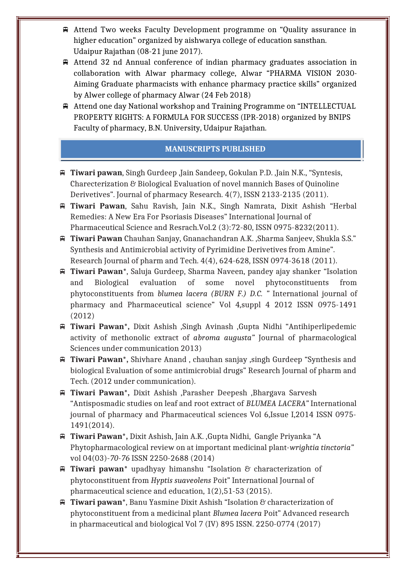- Attend Two weeks Faculty Development programme on "Quality assurance in higher education" organized by aishwarya college of education sansthan. Udaipur Rajathan (08-21 june 2017).
- Attend 32 nd Annual conference of indian pharmacy graduates association in collaboration with Alwar pharmacy college, Alwar "PHARMA VISION 2030- Aiming Graduate pharmacists with enhance pharmacy practice skills" organized by Alwer college of pharmacy Alwar (24 Feb 2018)
- Attend one day National workshop and Training Programme on "INTELLECTUAL PROPERTY RIGHTS: A FORMULA FOR SUCCESS (IPR-2018) organized by BNIPS Faculty of pharmacy, B.N. University, Udaipur Rajathan.

## **MANUSCRIPTS PUBLISHED**

- **Tiwari pawan**, Singh Gurdeep ,Jain Sandeep, Gokulan P.D. ,Jain N.K., "Syntesis, Charecterization & Biological Evaluation of novel mannich Bases of Quinoline Derivetives". Journal of pharmacy Research. 4(7), ISSN 2133-2135 (2011).
- **Tiwari Pawan**, Sahu Ravish, Jain N.K., Singh Namrata, Dixit Ashish "Herbal Remedies: A New Era For Psoriasis Diseases" International Journal of Pharmaceutical Science and Resrach.Vol.2 (3):72-80, ISSN 0975-8232(2011).
- **Tiwari Pawan** Chauhan Sanjay, Gnanachandran A.K. ,Sharma Sanjeev, Shukla S.S." Synthesis and Antimicrobial activity of Pyrimidine Derivetives from Amine". Research Journal of pharm and Tech. 4(4), 624-628, ISSN 0974-3618 (2011).
- **Tiwari Pawan**\*, Saluja Gurdeep, Sharma Naveen, pandey ajay shanker "Isolation and Biological evaluation of some novel phytoconstituents from phytoconstituents from *blumea lacera (BURN F.) D.C. "* International journal of pharmacy and Pharmaceutical science" Vol 4,suppl 4 2012 ISSN 0975-1491 (2012)
- **Tiwari Pawan\*,** Dixit Ashish ,Singh Avinash ,Gupta Nidhi "Antihiperlipedemic activity of methonolic extract of *abroma augusta"* Journal of pharmacological Sciences under communication 2013)
- **Tiwari Pawan\*,** Shivhare Anand , chauhan sanjay ,singh Gurdeep "Synthesis and biological Evaluation of some antimicrobial drugs" Research Journal of pharm and Tech. (2012 under communication).
- **Tiwari Pawan\*,** Dixit Ashish ,Parasher Deepesh ,Bhargava Sarvesh "Antisposmadic studies on leaf and root extract of *BLUMEA LACERA"* International journal of pharmacy and Pharmaceutical sciences Vol 6,Issue I,2014 ISSN 0975- 1491(2014).
- **Tiwari Pawan\*,** Dixit Ashish, Jain A.K. ,Gupta Nidhi, Gangle Priyanka "A Phytopharmacological review on at important medicinal plant-*wrightia tinctoria"* vol 04(03)-*70-76* ISSN 2250-2688 (2014)
- **Tiwari pawan**\* upadhyay himanshu"Isolation & characterization of phytoconstituent from *Hyptis suaveolens* Poit" International Journal of pharmaceutical science and education, 1(2),51-53 (2015).
- **Tiwari pawan**\*, Banu Yasmine Dixit Ashish "Isolation & characterization of phytoconstituent from a medicinal plant *Blumea lacera* Poit" Advanced research in pharmaceutical and biological Vol 7 (IV) 895 ISSN. 2250-0774 (2017)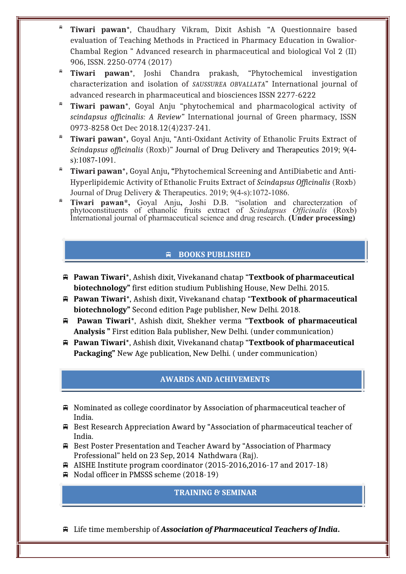- **Tiwari pawan**\*, Chaudhary Vikram, Dixit Ashish "A Questionnaire based evaluation of Teaching Methods in Practiced in Pharmacy Education in Gwalior-Chambal Region " Advanced research in pharmaceutical and biological Vol 2 (II) 906, ISSN. 2250-0774 (2017)
- **Tiwari pawan**\*, Joshi Chandra prakash, "Phytochemical investigation characterization and isolation of *SAUSSUREA OBVALLATA*" International journal of advanced research in pharmaceutical and biosciences ISSN 2277-6222
- **Tiwari pawan**\*, Goyal Anju "phytochemical and pharmacological activity of *scindapsus officinalis: A Review"* International journal of Green pharmacy, ISSN 0973-8258 Oct Dec 2018.12(4)237-241.
- **Tiwari pawan\*,** Goyal Anju, "Anti-Oxidant Activity of Ethanolic Fruits Extract of *Scindapsus officinalis* (Roxb)" Journal of Drug Delivery and Therapeutics 2019; 9(4 s):1087-1091.
- **Tiwari pawan\*,** Goyal Anju**, "**Phytochemical Screening and AntiDiabetic and Anti-Hyperlipidemic Activity of Ethanolic Fruits Extract of *Scindapsus Officinalis* (Roxb) Journal of Drug Delivery & Therapeutics. 2019; 9(4-s):1072-1086.
- **Tiwari pawan\*,** Goyal Anju**,** Joshi D.B. "isolation and charecterzation of phytoconstituents of ethanolic fruits extract of *Scindapsus Officinalis* (Roxb) International journal of pharmaceutical science and drug research. **(Under processing)**

# **BOOKS PUBLISHED**

- **Pawan Tiwari**\*, Ashish dixit, Vivekanand chatap "**Textbook of pharmaceutical biotechnology"** first edition studium Publishing House, New Delhi. 2015.
- **Pawan Tiwari**\*, Ashish dixit, Vivekanand chatap "**Textbook of pharmaceutical biotechnology"** Second edition Page publisher, New Delhi. 2018.
- **Pawan Tiwari**\*, Ashish dixit, Shekher verma "**Textbook of pharmaceutical Analysis "** First edition Bala publisher, New Delhi. (under communication)
- **Pawan Tiwari**\*, Ashish dixit, Vivekanand chatap "**Textbook of pharmaceutical Packaging"** New Age publication, New Delhi. ( under communication)

## **AWARDS AND ACHIVEMENTS**

- Nominated as college coordinator by Association of pharmaceutical teacher of India.
- Best Research Appreciation Award by "Association of pharmaceutical teacher of India.
- Best Poster Presentation and Teacher Award by "Association of Pharmacy Professional" held on 23 Sep, 2014 Nathdwara (Raj).
- $\bigoplus$  AISHE Institute program coordinator (2015-2016,2016-17 and 2017-18)
- Nodal officer in PMSSS scheme (2018-19)

# **TRAINING & SEMINAR**

Life time membership of *Association of Pharmaceutical Teachers of India***.**